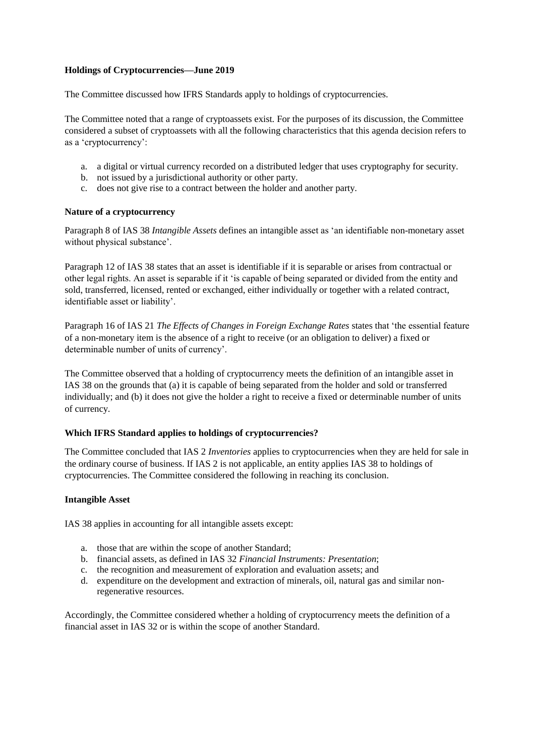# **Holdings of Cryptocurrencies—June 2019**

The Committee discussed how IFRS Standards apply to holdings of cryptocurrencies.

The Committee noted that a range of cryptoassets exist. For the purposes of its discussion, the Committee considered a subset of cryptoassets with all the following characteristics that this agenda decision refers to as a 'cryptocurrency':

- a. a digital or virtual currency recorded on a distributed ledger that uses cryptography for security.
- b. not issued by a jurisdictional authority or other party.
- c. does not give rise to a contract between the holder and another party.

#### **Nature of a cryptocurrency**

Paragraph 8 of IAS 38 *Intangible Assets* defines an intangible asset as 'an identifiable non-monetary asset without physical substance'.

Paragraph 12 of IAS 38 states that an asset is identifiable if it is separable or arises from contractual or other legal rights. An asset is separable if it 'is capable of being separated or divided from the entity and sold, transferred, licensed, rented or exchanged, either individually or together with a related contract, identifiable asset or liability'.

Paragraph 16 of IAS 21 *The Effects of Changes in Foreign Exchange Rates* states that 'the essential feature of a non-monetary item is the absence of a right to receive (or an obligation to deliver) a fixed or determinable number of units of currency'.

The Committee observed that a holding of cryptocurrency meets the definition of an intangible asset in IAS 38 on the grounds that (a) it is capable of being separated from the holder and sold or transferred individually; and (b) it does not give the holder a right to receive a fixed or determinable number of units of currency.

## **Which IFRS Standard applies to holdings of cryptocurrencies?**

The Committee concluded that IAS 2 *Inventories* applies to cryptocurrencies when they are held for sale in the ordinary course of business. If IAS 2 is not applicable, an entity applies IAS 38 to holdings of cryptocurrencies. The Committee considered the following in reaching its conclusion.

## **Intangible Asset**

IAS 38 applies in accounting for all intangible assets except:

- a. those that are within the scope of another Standard;
- b. financial assets, as defined in IAS 32 *Financial Instruments: Presentation*;
- c. the recognition and measurement of exploration and evaluation assets; and
- d. expenditure on the development and extraction of minerals, oil, natural gas and similar nonregenerative resources.

Accordingly, the Committee considered whether a holding of cryptocurrency meets the definition of a financial asset in IAS 32 or is within the scope of another Standard.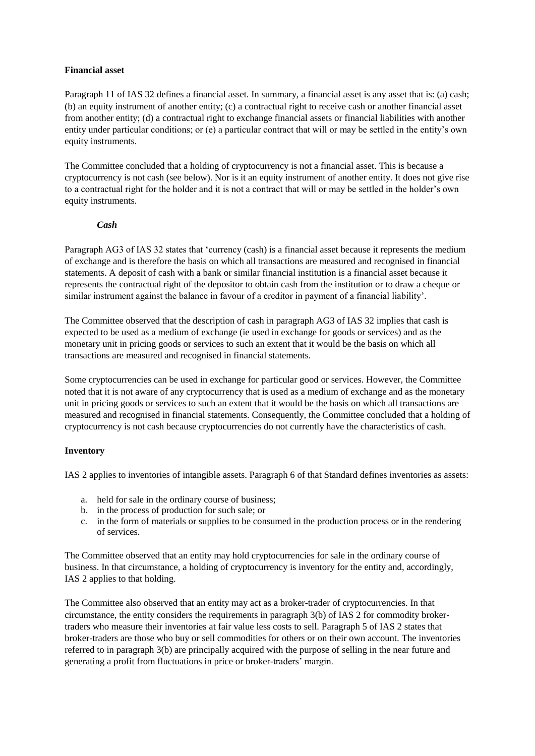### **Financial asset**

Paragraph 11 of IAS 32 defines a financial asset. In summary, a financial asset is any asset that is: (a) cash; (b) an equity instrument of another entity; (c) a contractual right to receive cash or another financial asset from another entity; (d) a contractual right to exchange financial assets or financial liabilities with another entity under particular conditions; or (e) a particular contract that will or may be settled in the entity's own equity instruments.

The Committee concluded that a holding of cryptocurrency is not a financial asset. This is because a cryptocurrency is not cash (see below). Nor is it an equity instrument of another entity. It does not give rise to a contractual right for the holder and it is not a contract that will or may be settled in the holder's own equity instruments.

# *Cash*

Paragraph AG3 of IAS 32 states that 'currency (cash) is a financial asset because it represents the medium of exchange and is therefore the basis on which all transactions are measured and recognised in financial statements. A deposit of cash with a bank or similar financial institution is a financial asset because it represents the contractual right of the depositor to obtain cash from the institution or to draw a cheque or similar instrument against the balance in favour of a creditor in payment of a financial liability'.

The Committee observed that the description of cash in paragraph AG3 of IAS 32 implies that cash is expected to be used as a medium of exchange (ie used in exchange for goods or services) and as the monetary unit in pricing goods or services to such an extent that it would be the basis on which all transactions are measured and recognised in financial statements.

Some cryptocurrencies can be used in exchange for particular good or services. However, the Committee noted that it is not aware of any cryptocurrency that is used as a medium of exchange and as the monetary unit in pricing goods or services to such an extent that it would be the basis on which all transactions are measured and recognised in financial statements. Consequently, the Committee concluded that a holding of cryptocurrency is not cash because cryptocurrencies do not currently have the characteristics of cash.

## **Inventory**

IAS 2 applies to inventories of intangible assets. Paragraph 6 of that Standard defines inventories as assets:

- a. held for sale in the ordinary course of business;
- b. in the process of production for such sale; or
- c. in the form of materials or supplies to be consumed in the production process or in the rendering of services.

The Committee observed that an entity may hold cryptocurrencies for sale in the ordinary course of business. In that circumstance, a holding of cryptocurrency is inventory for the entity and, accordingly, IAS 2 applies to that holding.

The Committee also observed that an entity may act as a broker-trader of cryptocurrencies. In that circumstance, the entity considers the requirements in paragraph 3(b) of IAS 2 for commodity brokertraders who measure their inventories at fair value less costs to sell. Paragraph 5 of IAS 2 states that broker-traders are those who buy or sell commodities for others or on their own account. The inventories referred to in paragraph 3(b) are principally acquired with the purpose of selling in the near future and generating a profit from fluctuations in price or broker-traders' margin.